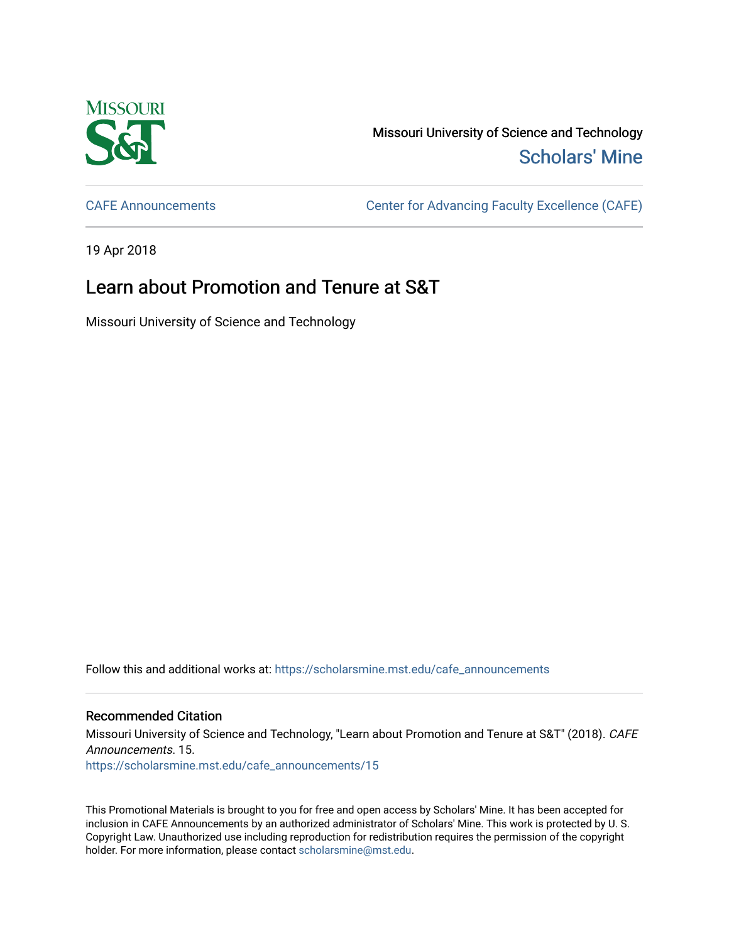

Missouri University of Science and Technology [Scholars' Mine](https://scholarsmine.mst.edu/) 

[CAFE Announcements](https://scholarsmine.mst.edu/cafe_announcements) [Center for Advancing Faculty Excellence \(CAFE\)](https://scholarsmine.mst.edu/cafe) 

19 Apr 2018

## Learn about Promotion and Tenure at S&T

Missouri University of Science and Technology

Follow this and additional works at: [https://scholarsmine.mst.edu/cafe\\_announcements](https://scholarsmine.mst.edu/cafe_announcements?utm_source=scholarsmine.mst.edu%2Fcafe_announcements%2F15&utm_medium=PDF&utm_campaign=PDFCoverPages) 

## Recommended Citation

Missouri University of Science and Technology, "Learn about Promotion and Tenure at S&T" (2018). CAFE Announcements. 15. [https://scholarsmine.mst.edu/cafe\\_announcements/15](https://scholarsmine.mst.edu/cafe_announcements/15?utm_source=scholarsmine.mst.edu%2Fcafe_announcements%2F15&utm_medium=PDF&utm_campaign=PDFCoverPages)

This Promotional Materials is brought to you for free and open access by Scholars' Mine. It has been accepted for inclusion in CAFE Announcements by an authorized administrator of Scholars' Mine. This work is protected by U. S. Copyright Law. Unauthorized use including reproduction for redistribution requires the permission of the copyright holder. For more information, please contact [scholarsmine@mst.edu.](mailto:scholarsmine@mst.edu)